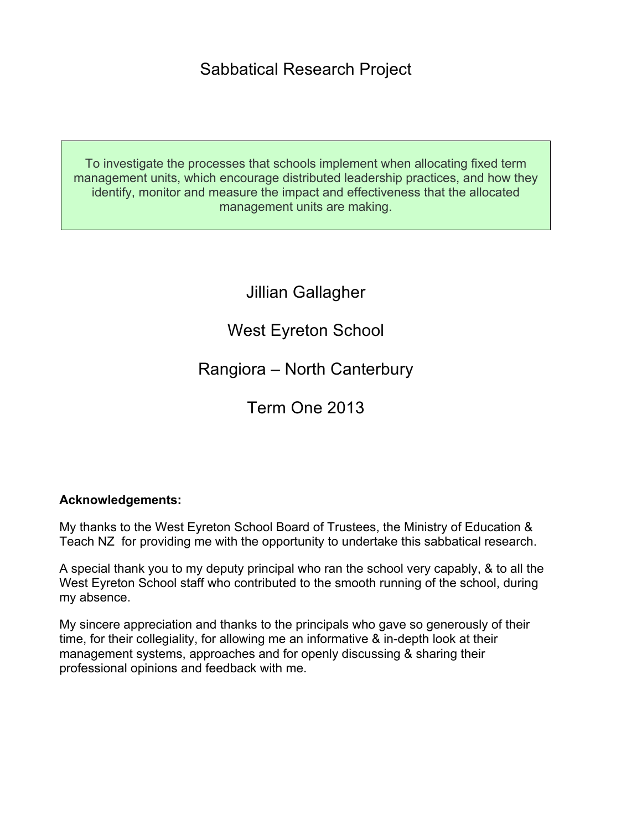To investigate the processes that schools implement when allocating fixed term management units, which encourage distributed leadership practices, and how they identify, monitor and measure the impact and effectiveness that the allocated management units are making.

Jillian Gallagher

# West Eyreton School

Rangiora – North Canterbury

Term One 2013

# **Acknowledgements:**

My thanks to the West Eyreton School Board of Trustees, the Ministry of Education & Teach NZ for providing me with the opportunity to undertake this sabbatical research.

A special thank you to my deputy principal who ran the school very capably, & to all the West Eyreton School staff who contributed to the smooth running of the school, during my absence.

My sincere appreciation and thanks to the principals who gave so generously of their time, for their collegiality, for allowing me an informative & in-depth look at their management systems, approaches and for openly discussing & sharing their professional opinions and feedback with me.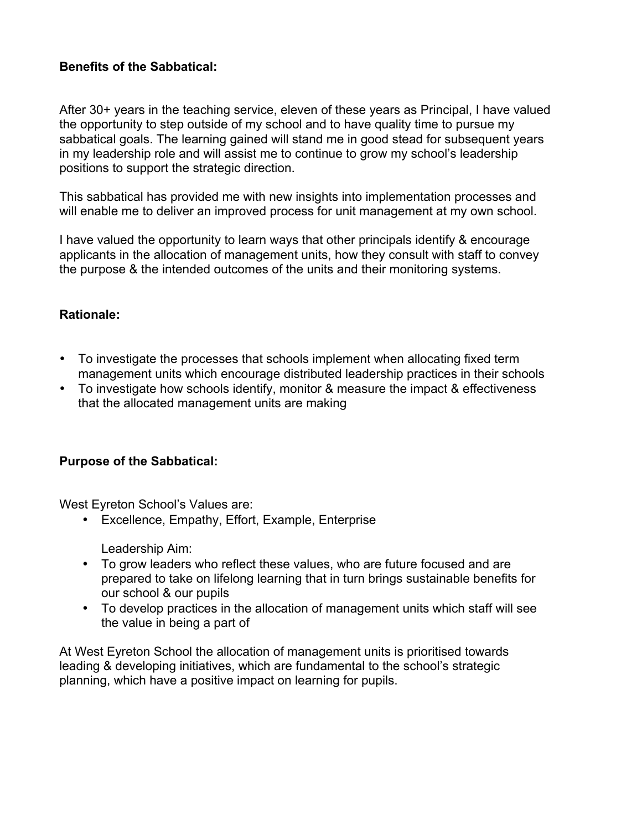# **Benefits of the Sabbatical:**

After 30+ years in the teaching service, eleven of these years as Principal, I have valued the opportunity to step outside of my school and to have quality time to pursue my sabbatical goals. The learning gained will stand me in good stead for subsequent years in my leadership role and will assist me to continue to grow my school's leadership positions to support the strategic direction.

This sabbatical has provided me with new insights into implementation processes and will enable me to deliver an improved process for unit management at my own school.

I have valued the opportunity to learn ways that other principals identify & encourage applicants in the allocation of management units, how they consult with staff to convey the purpose & the intended outcomes of the units and their monitoring systems.

#### **Rationale:**

- To investigate the processes that schools implement when allocating fixed term management units which encourage distributed leadership practices in their schools
- To investigate how schools identify, monitor & measure the impact & effectiveness that the allocated management units are making

# **Purpose of the Sabbatical:**

West Eyreton School's Values are:

• Excellence, Empathy, Effort, Example, Enterprise

Leadership Aim:

- To grow leaders who reflect these values, who are future focused and are prepared to take on lifelong learning that in turn brings sustainable benefits for our school & our pupils
- To develop practices in the allocation of management units which staff will see the value in being a part of

At West Eyreton School the allocation of management units is prioritised towards leading & developing initiatives, which are fundamental to the school's strategic planning, which have a positive impact on learning for pupils.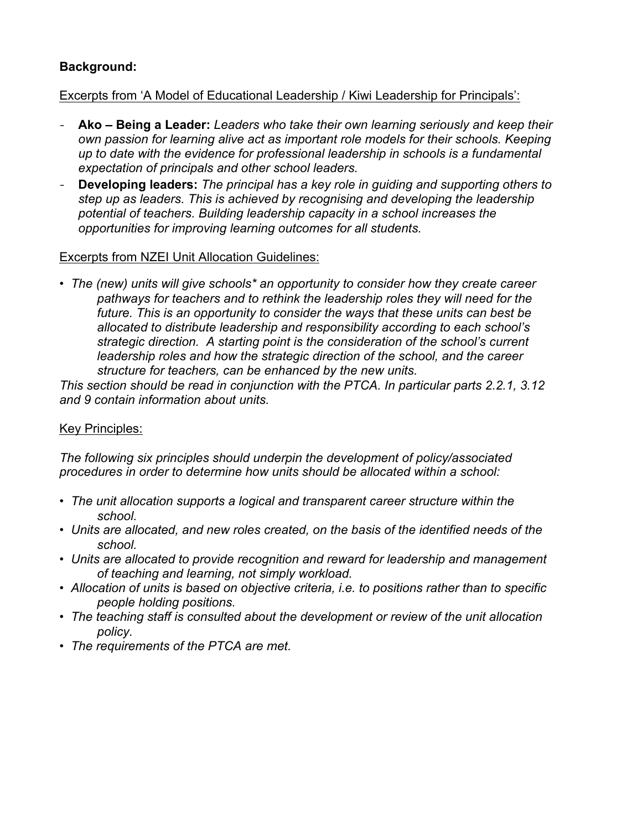# **Background:**

### Excerpts from 'A Model of Educational Leadership / Kiwi Leadership for Principals':

- **Ako – Being a Leader:** *Leaders who take their own learning seriously and keep their own passion for learning alive act as important role models for their schools. Keeping up to date with the evidence for professional leadership in schools is a fundamental expectation of principals and other school leaders.*
- **Developing leaders:** *The principal has a key role in guiding and supporting others to step up as leaders. This is achieved by recognising and developing the leadership potential of teachers. Building leadership capacity in a school increases the opportunities for improving learning outcomes for all students.*

### Excerpts from NZEI Unit Allocation Guidelines:

• *The (new) units will give schools\* an opportunity to consider how they create career pathways for teachers and to rethink the leadership roles they will need for the future. This is an opportunity to consider the ways that these units can best be allocated to distribute leadership and responsibility according to each school's strategic direction. A starting point is the consideration of the school's current leadership roles and how the strategic direction of the school, and the career structure for teachers, can be enhanced by the new units.* 

*This section should be read in conjunction with the PTCA. In particular parts 2.2.1, 3.12 and 9 contain information about units.*

# Key Principles:

*The following six principles should underpin the development of policy/associated procedures in order to determine how units should be allocated within a school:*

- *The unit allocation supports a logical and transparent career structure within the school.*
- *Units are allocated, and new roles created, on the basis of the identified needs of the school.*
- *Units are allocated to provide recognition and reward for leadership and management of teaching and learning, not simply workload.*
- *Allocation of units is based on objective criteria, i.e. to positions rather than to specific people holding positions.*
- *The teaching staff is consulted about the development or review of the unit allocation policy.*
- *The requirements of the PTCA are met.*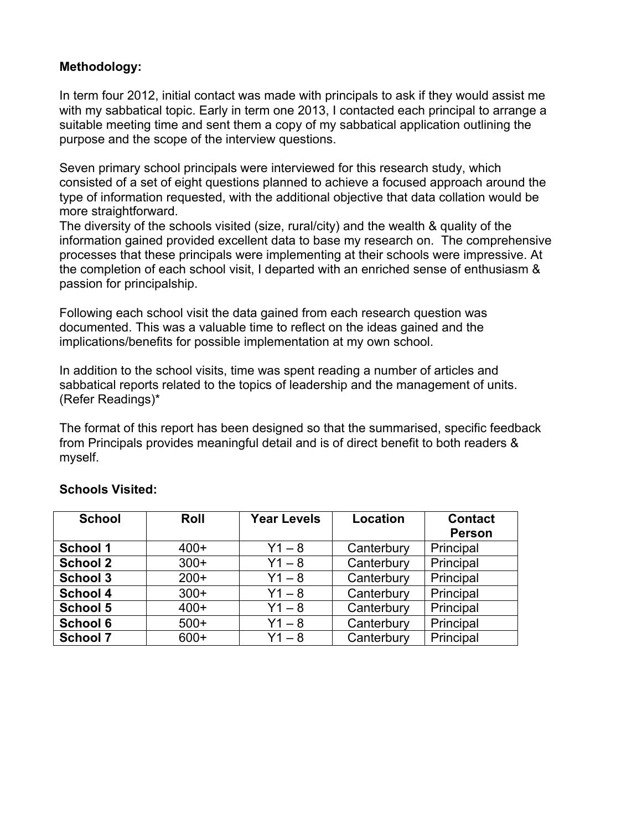### **Methodology:**

In term four 2012, initial contact was made with principals to ask if they would assist me with my sabbatical topic. Early in term one 2013, I contacted each principal to arrange a suitable meeting time and sent them a copy of my sabbatical application outlining the purpose and the scope of the interview questions.

Seven primary school principals were interviewed for this research study, which consisted of a set of eight questions planned to achieve a focused approach around the type of information requested, with the additional objective that data collation would be more straightforward.

The diversity of the schools visited (size, rural/city) and the wealth & quality of the information gained provided excellent data to base my research on. The comprehensive processes that these principals were implementing at their schools were impressive. At the completion of each school visit, I departed with an enriched sense of enthusiasm & passion for principalship.

Following each school visit the data gained from each research question was documented. This was a valuable time to reflect on the ideas gained and the implications/benefits for possible implementation at my own school.

In addition to the school visits, time was spent reading a number of articles and sabbatical reports related to the topics of leadership and the management of units. (Refer Readings)\*

The format of this report has been designed so that the summarised, specific feedback from Principals provides meaningful detail and is of direct benefit to both readers & myself.

| <b>School</b>   | <b>Roll</b> | <b>Year Levels</b> | Location   | <b>Contact</b><br><b>Person</b> |
|-----------------|-------------|--------------------|------------|---------------------------------|
| School 1        | $400+$      | $Y1 - 8$           | Canterbury | Principal                       |
| <b>School 2</b> | $300+$      | $Y1 - 8$           | Canterbury | Principal                       |
| <b>School 3</b> | $200+$      | $Y1 - 8$           | Canterbury | Principal                       |
| School 4        | $300+$      | $Y1 - 8$           | Canterbury | Principal                       |
| <b>School 5</b> | $400+$      | $Y1 - 8$           | Canterbury | Principal                       |
| School 6        | $500+$      | $Y1 - 8$           | Canterbury | Principal                       |
| <b>School 7</b> | $600+$      | $Y1 - 8$           | Canterbury | Principal                       |

#### **Schools Visited:**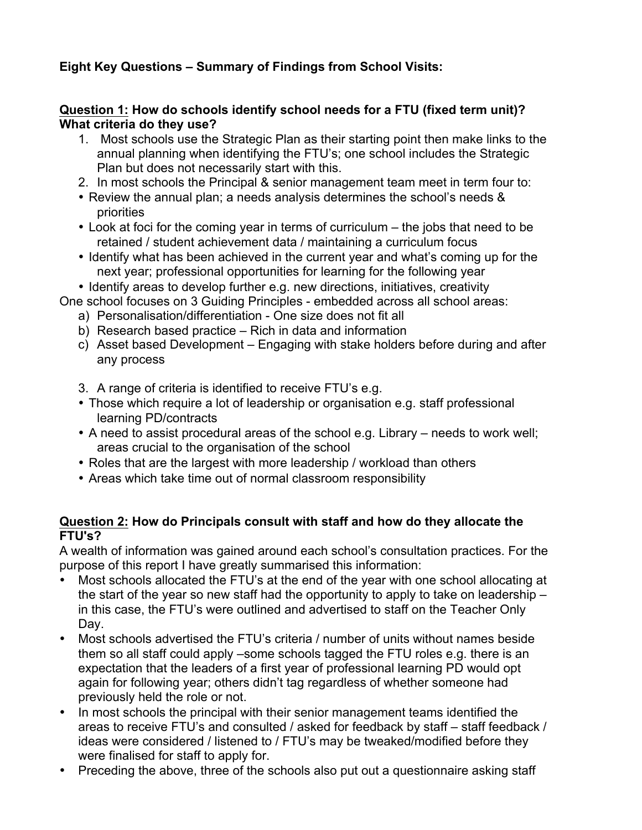# **Eight Key Questions – Summary of Findings from School Visits:**

#### **Question 1: How do schools identify school needs for a FTU (fixed term unit)? What criteria do they use?**

- 1. Most schools use the Strategic Plan as their starting point then make links to the annual planning when identifying the FTU's; one school includes the Strategic Plan but does not necessarily start with this.
- 2. In most schools the Principal & senior management team meet in term four to:
- Review the annual plan; a needs analysis determines the school's needs & priorities
- Look at foci for the coming year in terms of curriculum the jobs that need to be retained / student achievement data / maintaining a curriculum focus
- Identify what has been achieved in the current year and what's coming up for the next year; professional opportunities for learning for the following year
- Identify areas to develop further e.g. new directions, initiatives, creativity

One school focuses on 3 Guiding Principles - embedded across all school areas:

- a) Personalisation/differentiation One size does not fit all
- b) Research based practice Rich in data and information
- c) Asset based Development Engaging with stake holders before during and after any process
- 3. A range of criteria is identified to receive FTU's e.g.
- Those which require a lot of leadership or organisation e.g. staff professional learning PD/contracts
- A need to assist procedural areas of the school e.g. Library needs to work well; areas crucial to the organisation of the school
- Roles that are the largest with more leadership / workload than others
- Areas which take time out of normal classroom responsibility

### **Question 2: How do Principals consult with staff and how do they allocate the FTU's?**

A wealth of information was gained around each school's consultation practices. For the purpose of this report I have greatly summarised this information:

- Most schools allocated the FTU's at the end of the year with one school allocating at the start of the year so new staff had the opportunity to apply to take on leadership – in this case, the FTU's were outlined and advertised to staff on the Teacher Only Day.
- Most schools advertised the FTU's criteria / number of units without names beside them so all staff could apply –some schools tagged the FTU roles e.g. there is an expectation that the leaders of a first year of professional learning PD would opt again for following year; others didn't tag regardless of whether someone had previously held the role or not.
- In most schools the principal with their senior management teams identified the areas to receive FTU's and consulted / asked for feedback by staff – staff feedback / ideas were considered / listened to / FTU's may be tweaked/modified before they were finalised for staff to apply for.
- Preceding the above, three of the schools also put out a questionnaire asking staff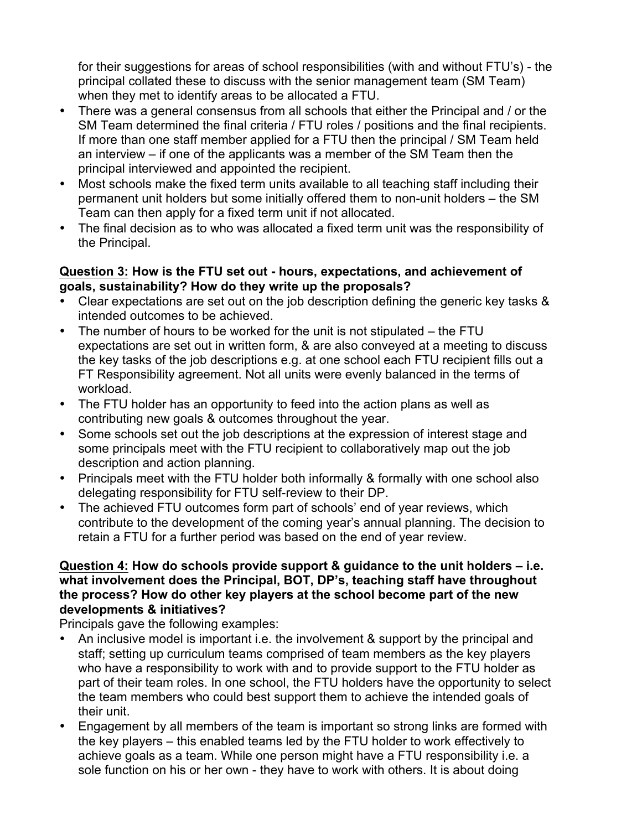for their suggestions for areas of school responsibilities (with and without FTU's) - the principal collated these to discuss with the senior management team (SM Team) when they met to identify areas to be allocated a FTU.

- There was a general consensus from all schools that either the Principal and / or the SM Team determined the final criteria / FTU roles / positions and the final recipients. If more than one staff member applied for a FTU then the principal / SM Team held an interview – if one of the applicants was a member of the SM Team then the principal interviewed and appointed the recipient.
- Most schools make the fixed term units available to all teaching staff including their permanent unit holders but some initially offered them to non-unit holders – the SM Team can then apply for a fixed term unit if not allocated.
- The final decision as to who was allocated a fixed term unit was the responsibility of the Principal.

# **Question 3: How is the FTU set out - hours, expectations, and achievement of goals, sustainability? How do they write up the proposals?**

- Clear expectations are set out on the job description defining the generic key tasks & intended outcomes to be achieved.
- The number of hours to be worked for the unit is not stipulated the FTU expectations are set out in written form, & are also conveyed at a meeting to discuss the key tasks of the job descriptions e.g. at one school each FTU recipient fills out a FT Responsibility agreement. Not all units were evenly balanced in the terms of workload.
- The FTU holder has an opportunity to feed into the action plans as well as contributing new goals & outcomes throughout the year.
- Some schools set out the job descriptions at the expression of interest stage and some principals meet with the FTU recipient to collaboratively map out the job description and action planning.
- Principals meet with the FTU holder both informally & formally with one school also delegating responsibility for FTU self-review to their DP.
- The achieved FTU outcomes form part of schools' end of year reviews, which contribute to the development of the coming year's annual planning. The decision to retain a FTU for a further period was based on the end of year review.

# **Question 4: How do schools provide support & guidance to the unit holders – i.e. what involvement does the Principal, BOT, DP's, teaching staff have throughout the process? How do other key players at the school become part of the new developments & initiatives?**

Principals gave the following examples:

- An inclusive model is important i.e. the involvement & support by the principal and staff; setting up curriculum teams comprised of team members as the key players who have a responsibility to work with and to provide support to the FTU holder as part of their team roles. In one school, the FTU holders have the opportunity to select the team members who could best support them to achieve the intended goals of their unit.
- Engagement by all members of the team is important so strong links are formed with the key players – this enabled teams led by the FTU holder to work effectively to achieve goals as a team. While one person might have a FTU responsibility i.e. a sole function on his or her own - they have to work with others. It is about doing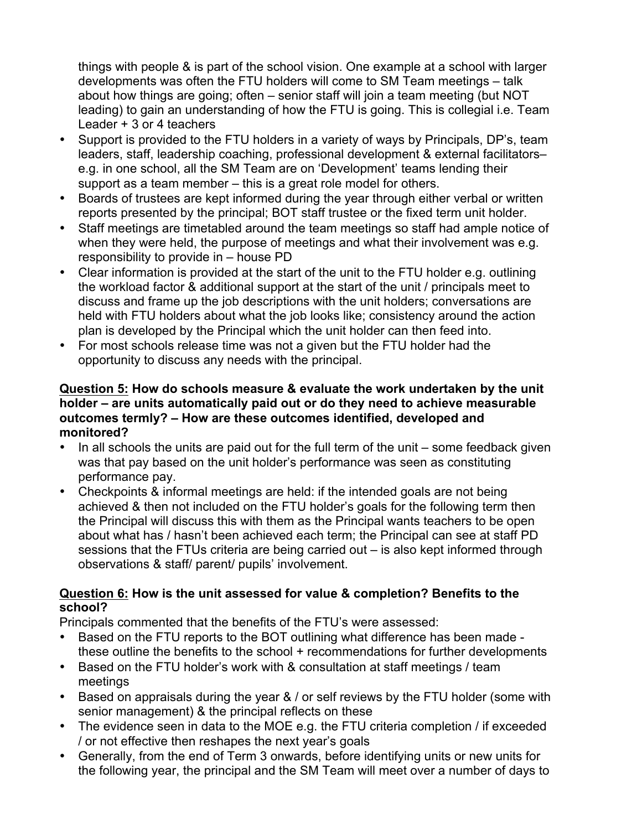things with people & is part of the school vision. One example at a school with larger developments was often the FTU holders will come to SM Team meetings – talk about how things are going; often – senior staff will join a team meeting (but NOT leading) to gain an understanding of how the FTU is going. This is collegial i.e. Team Leader + 3 or 4 teachers

- Support is provided to the FTU holders in a variety of ways by Principals, DP's, team leaders, staff, leadership coaching, professional development & external facilitators– e.g. in one school, all the SM Team are on 'Development' teams lending their support as a team member – this is a great role model for others.
- Boards of trustees are kept informed during the year through either verbal or written reports presented by the principal; BOT staff trustee or the fixed term unit holder.
- Staff meetings are timetabled around the team meetings so staff had ample notice of when they were held, the purpose of meetings and what their involvement was e.g. responsibility to provide in – house PD
- Clear information is provided at the start of the unit to the FTU holder e.g. outlining the workload factor & additional support at the start of the unit / principals meet to discuss and frame up the job descriptions with the unit holders; conversations are held with FTU holders about what the job looks like; consistency around the action plan is developed by the Principal which the unit holder can then feed into.
- For most schools release time was not a given but the FTU holder had the opportunity to discuss any needs with the principal.

#### **Question 5: How do schools measure & evaluate the work undertaken by the unit holder – are units automatically paid out or do they need to achieve measurable outcomes termly? – How are these outcomes identified, developed and monitored?**

- In all schools the units are paid out for the full term of the unit some feedback given was that pay based on the unit holder's performance was seen as constituting performance pay.
- Checkpoints & informal meetings are held: if the intended goals are not being achieved & then not included on the FTU holder's goals for the following term then the Principal will discuss this with them as the Principal wants teachers to be open about what has / hasn't been achieved each term; the Principal can see at staff PD sessions that the FTUs criteria are being carried out – is also kept informed through observations & staff/ parent/ pupils' involvement.

# **Question 6: How is the unit assessed for value & completion? Benefits to the school?**

Principals commented that the benefits of the FTU's were assessed:

- Based on the FTU reports to the BOT outlining what difference has been made these outline the benefits to the school + recommendations for further developments
- Based on the FTU holder's work with & consultation at staff meetings / team meetings
- Based on appraisals during the year & / or self reviews by the FTU holder (some with senior management) & the principal reflects on these
- The evidence seen in data to the MOE e.g. the FTU criteria completion / if exceeded / or not effective then reshapes the next year's goals
- Generally, from the end of Term 3 onwards, before identifying units or new units for the following year, the principal and the SM Team will meet over a number of days to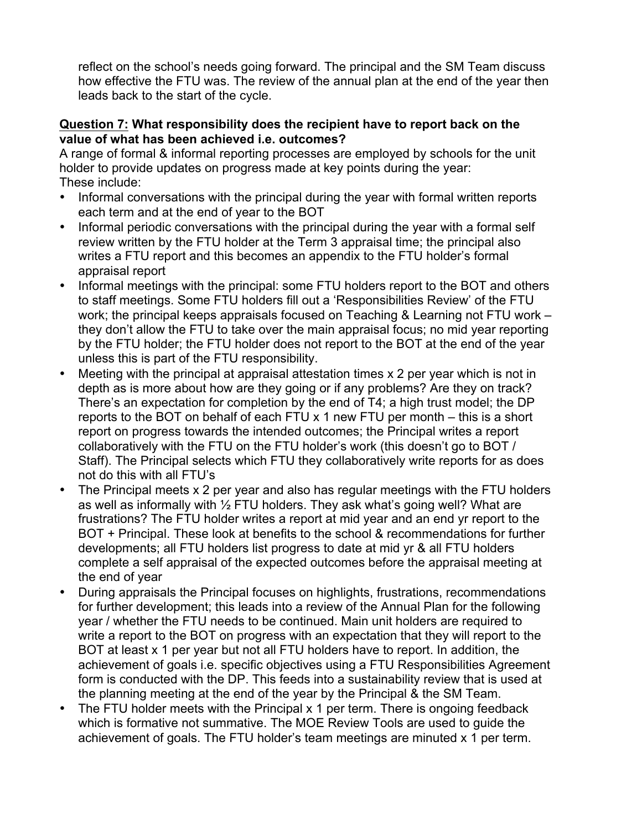reflect on the school's needs going forward. The principal and the SM Team discuss how effective the FTU was. The review of the annual plan at the end of the year then leads back to the start of the cycle.

#### **Question 7: What responsibility does the recipient have to report back on the value of what has been achieved i.e. outcomes?**

A range of formal & informal reporting processes are employed by schools for the unit holder to provide updates on progress made at key points during the year: These include:

- Informal conversations with the principal during the year with formal written reports each term and at the end of year to the BOT
- Informal periodic conversations with the principal during the year with a formal self review written by the FTU holder at the Term 3 appraisal time; the principal also writes a FTU report and this becomes an appendix to the FTU holder's formal appraisal report
- Informal meetings with the principal: some FTU holders report to the BOT and others to staff meetings. Some FTU holders fill out a 'Responsibilities Review' of the FTU work; the principal keeps appraisals focused on Teaching & Learning not FTU work – they don't allow the FTU to take over the main appraisal focus; no mid year reporting by the FTU holder; the FTU holder does not report to the BOT at the end of the year unless this is part of the FTU responsibility.
- Meeting with the principal at appraisal attestation times x 2 per year which is not in depth as is more about how are they going or if any problems? Are they on track? There's an expectation for completion by the end of T4; a high trust model; the DP reports to the BOT on behalf of each FTU x 1 new FTU per month – this is a short report on progress towards the intended outcomes; the Principal writes a report collaboratively with the FTU on the FTU holder's work (this doesn't go to BOT / Staff). The Principal selects which FTU they collaboratively write reports for as does not do this with all FTU's
- The Principal meets x 2 per year and also has regular meetings with the FTU holders as well as informally with  $\frac{1}{2}$  FTU holders. They ask what's going well? What are frustrations? The FTU holder writes a report at mid year and an end yr report to the BOT + Principal. These look at benefits to the school & recommendations for further developments; all FTU holders list progress to date at mid yr & all FTU holders complete a self appraisal of the expected outcomes before the appraisal meeting at the end of year
- During appraisals the Principal focuses on highlights, frustrations, recommendations for further development; this leads into a review of the Annual Plan for the following year / whether the FTU needs to be continued. Main unit holders are required to write a report to the BOT on progress with an expectation that they will report to the BOT at least x 1 per year but not all FTU holders have to report. In addition, the achievement of goals i.e. specific objectives using a FTU Responsibilities Agreement form is conducted with the DP. This feeds into a sustainability review that is used at the planning meeting at the end of the year by the Principal & the SM Team.
- The FTU holder meets with the Principal x 1 per term. There is ongoing feedback which is formative not summative. The MOE Review Tools are used to guide the achievement of goals. The FTU holder's team meetings are minuted x 1 per term.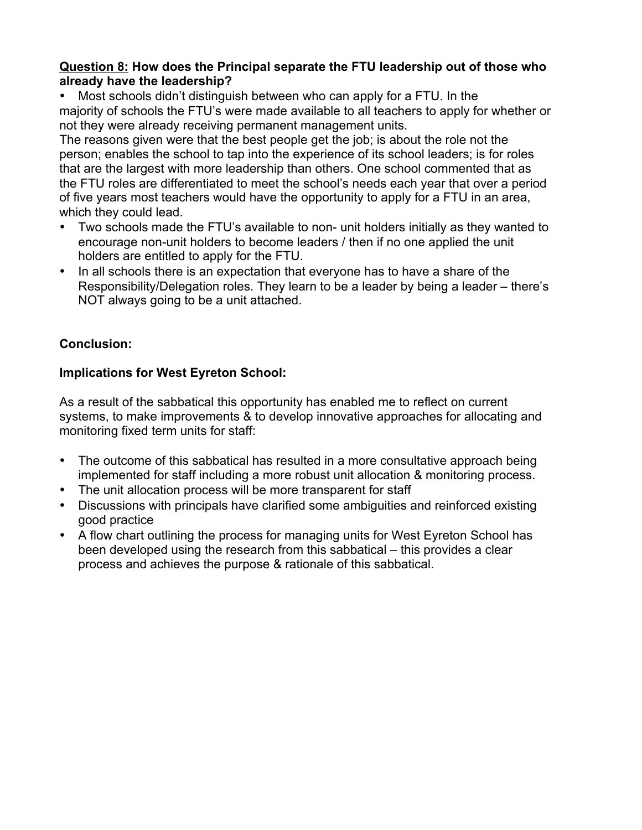### **Question 8: How does the Principal separate the FTU leadership out of those who already have the leadership?**

• Most schools didn't distinguish between who can apply for a FTU. In the majority of schools the FTU's were made available to all teachers to apply for whether or not they were already receiving permanent management units.

The reasons given were that the best people get the job; is about the role not the person; enables the school to tap into the experience of its school leaders; is for roles that are the largest with more leadership than others. One school commented that as the FTU roles are differentiated to meet the school's needs each year that over a period of five years most teachers would have the opportunity to apply for a FTU in an area, which they could lead.

- Two schools made the FTU's available to non- unit holders initially as they wanted to encourage non-unit holders to become leaders / then if no one applied the unit holders are entitled to apply for the FTU.
- In all schools there is an expectation that everyone has to have a share of the Responsibility/Delegation roles. They learn to be a leader by being a leader – there's NOT always going to be a unit attached.

# **Conclusion:**

# **Implications for West Eyreton School:**

As a result of the sabbatical this opportunity has enabled me to reflect on current systems, to make improvements & to develop innovative approaches for allocating and monitoring fixed term units for staff:

- The outcome of this sabbatical has resulted in a more consultative approach being implemented for staff including a more robust unit allocation & monitoring process.
- The unit allocation process will be more transparent for staff
- Discussions with principals have clarified some ambiguities and reinforced existing good practice
- A flow chart outlining the process for managing units for West Eyreton School has been developed using the research from this sabbatical – this provides a clear process and achieves the purpose & rationale of this sabbatical.